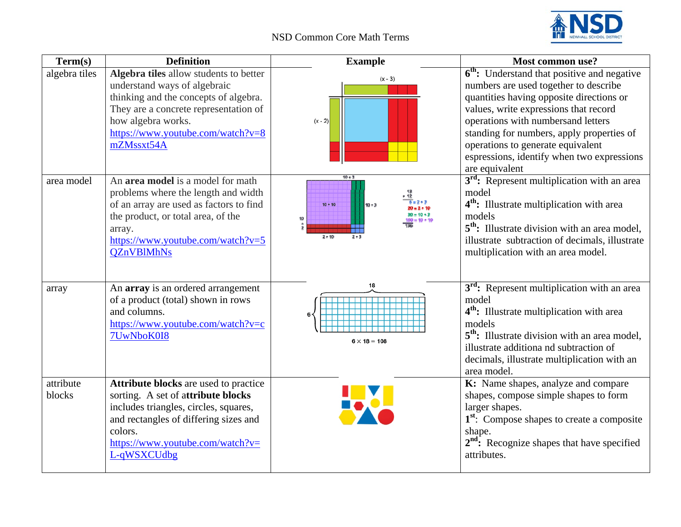## NSD Common Core Math Terms



| Term(s)             | <b>Definition</b>                                                                                                                                                                                                                 | <b>Example</b>                                  | <b>Most common use?</b>                                                                                                                                                                                                                                                                                                                                                       |
|---------------------|-----------------------------------------------------------------------------------------------------------------------------------------------------------------------------------------------------------------------------------|-------------------------------------------------|-------------------------------------------------------------------------------------------------------------------------------------------------------------------------------------------------------------------------------------------------------------------------------------------------------------------------------------------------------------------------------|
| algebra tiles       | Algebra tiles allow students to better<br>understand ways of algebraic<br>thinking and the concepts of algebra.<br>They are a concrete representation of<br>how algebra works.<br>https://www.youtube.com/watch?v=8<br>mZMssxt54A | $(x - 3)$<br>$(x - 2)$                          | 6 <sup>th</sup> : Understand that positive and negative<br>numbers are used together to describe<br>quantities having opposite directions or<br>values, write expressions that record<br>operations with numbersand letters<br>standing for numbers, apply properties of<br>operations to generate equivalent<br>espressions, identify when two expressions<br>are equivalent |
| area model          | An area model is a model for math<br>problems where the length and width<br>of an array are used as factors to find<br>the product, or total area, of the<br>array.<br>https://www.youtube.com/watch?v=5<br><b>QZnVBlMhNs</b>     | $10 + 3$<br>10 • 10<br>10 + 3<br>10<br>$2 * 10$ | 3 <sup>rd</sup> : Represent multiplication with an area<br>model<br>4 <sup>th</sup> : Illustrate multiplication with area<br>models<br>5 <sup>th</sup> : Illustrate division with an area model,<br>illustrate subtraction of decimals, illustrate<br>multiplication with an area model.                                                                                      |
| array               | An array is an ordered arrangement<br>of a product (total) shown in rows<br>and columns.<br>https://www.youtube.com/watch?v=c<br>7UwNboK0I8                                                                                       | 18<br>$6 \times 18 = 108$                       | 3 <sup>rd</sup> : Represent multiplication with an area<br>model<br>4 <sup>th</sup> : Illustrate multiplication with area<br>models<br>5 <sup>th</sup> : Illustrate division with an area model,<br>illustrate additiona nd subtraction of<br>decimals, illustrate multiplication with an<br>area model.                                                                      |
| attribute<br>blocks | Attribute blocks are used to practice<br>sorting. A set of attribute blocks<br>includes triangles, circles, squares,<br>and rectangles of differing sizes and<br>colors.<br>https://www.youtube.com/watch?v=<br>L-qWSXCUdbg       |                                                 | K: Name shapes, analyze and compare<br>shapes, compose simple shapes to form<br>larger shapes.<br>1 <sup>st</sup> : Compose shapes to create a composite<br>shape.<br>$2nd$ : Recognize shapes that have specified<br>attributes.                                                                                                                                             |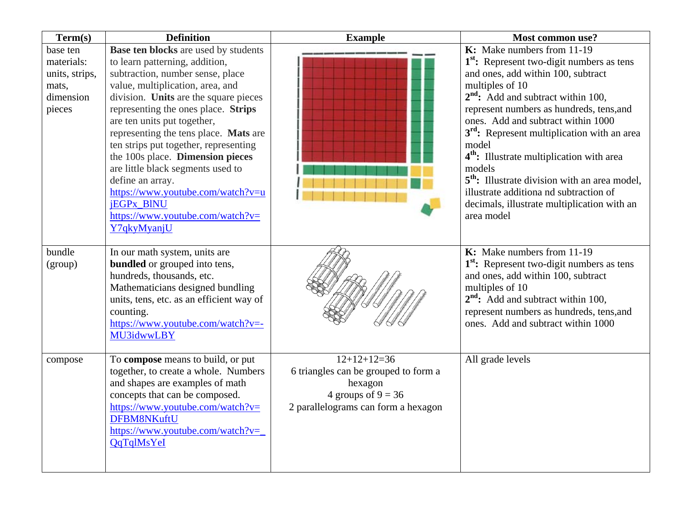| Term(s)        | <b>Definition</b>                          | <b>Example</b>                       | Most common use?                                          |
|----------------|--------------------------------------------|--------------------------------------|-----------------------------------------------------------|
| base ten       | Base ten blocks are used by students       |                                      | K: Make numbers from 11-19                                |
| materials:     | to learn patterning, addition,             |                                      | 1 <sup>st</sup> : Represent two-digit numbers as tens     |
| units, strips, | subtraction, number sense, place           |                                      | and ones, add within 100, subtract                        |
| mats,          | value, multiplication, area, and           |                                      | multiples of 10                                           |
| dimension      | division. Units are the square pieces      |                                      | $2nd$ : Add and subtract within 100,                      |
| pieces         | representing the ones place. Strips        |                                      | represent numbers as hundreds, tens, and                  |
|                | are ten units put together,                |                                      | ones. Add and subtract within 1000                        |
|                | representing the tens place. Mats are      |                                      | 3 <sup>rd</sup> : Represent multiplication with an area   |
|                | ten strips put together, representing      |                                      | model                                                     |
|                | the 100s place. Dimension pieces           |                                      | 4 <sup>th</sup> : Illustrate multiplication with area     |
|                | are little black segments used to          |                                      | models                                                    |
|                | define an array.                           |                                      | 5 <sup>th</sup> : Illustrate division with an area model, |
|                | https://www.youtube.com/watch?v=u          |                                      | illustrate additiona nd subtraction of                    |
|                | jEGPx_BINU                                 |                                      | decimals, illustrate multiplication with an               |
|                | $\frac{https://www.voutube.com/watch?v=}{$ |                                      | area model                                                |
|                | Y7qkyMyanjU                                |                                      |                                                           |
| bundle         | In our math system, units are              |                                      | K: Make numbers from 11-19                                |
| (group)        | <b>bundled</b> or grouped into tens,       |                                      | 1 <sup>st</sup> : Represent two-digit numbers as tens     |
|                | hundreds, thousands, etc.                  |                                      | and ones, add within 100, subtract                        |
|                | Mathematicians designed bundling           |                                      | multiples of 10                                           |
|                | units, tens, etc. as an efficient way of   |                                      | $2nd$ : Add and subtract within 100,                      |
|                | counting.                                  |                                      | represent numbers as hundreds, tens, and                  |
|                | https://www.youtube.com/watch?v=-          |                                      | ones. Add and subtract within 1000                        |
|                | <b>MU3idwwLBY</b>                          |                                      |                                                           |
|                |                                            |                                      |                                                           |
| compose        | To compose means to build, or put          | $12+12+12=36$                        | All grade levels                                          |
|                | together, to create a whole. Numbers       | 6 triangles can be grouped to form a |                                                           |
|                | and shapes are examples of math            | hexagon                              |                                                           |
|                | concepts that can be composed.             | 4 groups of $9 = 36$                 |                                                           |
|                | $\frac{https://www.voutube.com/watch?v=}{$ | 2 parallelograms can form a hexagon  |                                                           |
|                | DFBM8NKuftU                                |                                      |                                                           |
|                | https://www.youtube.com/watch?v=           |                                      |                                                           |
|                | <b>QqTqlMsYeI</b>                          |                                      |                                                           |
|                |                                            |                                      |                                                           |
|                |                                            |                                      |                                                           |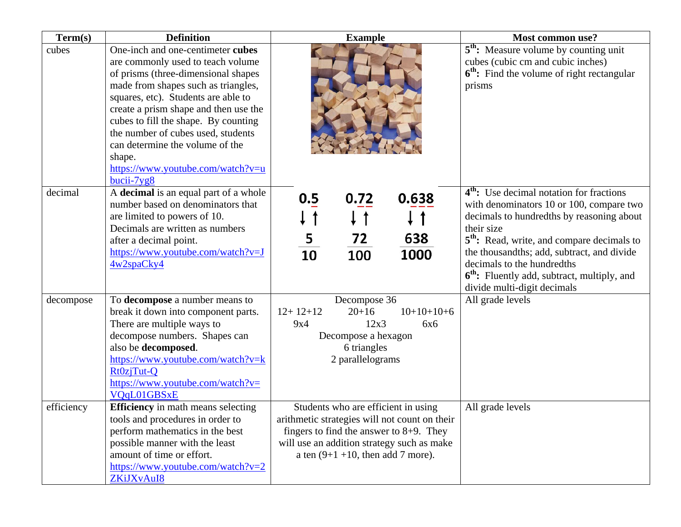| Term(s)    | <b>Definition</b>                                                                                                                                                                                                                                                                                                                                                                                                    | <b>Example</b>                                                                                                                                                                                                           | <b>Most common use?</b>                                                                                                                                                                                                                                                                                                                                                                     |
|------------|----------------------------------------------------------------------------------------------------------------------------------------------------------------------------------------------------------------------------------------------------------------------------------------------------------------------------------------------------------------------------------------------------------------------|--------------------------------------------------------------------------------------------------------------------------------------------------------------------------------------------------------------------------|---------------------------------------------------------------------------------------------------------------------------------------------------------------------------------------------------------------------------------------------------------------------------------------------------------------------------------------------------------------------------------------------|
| cubes      | One-inch and one-centimeter cubes<br>are commonly used to teach volume<br>of prisms (three-dimensional shapes<br>made from shapes such as triangles,<br>squares, etc). Students are able to<br>create a prism shape and then use the<br>cubes to fill the shape. By counting<br>the number of cubes used, students<br>can determine the volume of the<br>shape.<br>https://www.youtube.com/watch?v=u<br>$bucii-7yg8$ |                                                                                                                                                                                                                          | $\overline{5}^{th}$ : Measure volume by counting unit<br>cubes (cubic cm and cubic inches)<br>$6th$ : Find the volume of right rectangular<br>prisms                                                                                                                                                                                                                                        |
| decimal    | A decimal is an equal part of a whole<br>number based on denominators that<br>are limited to powers of 10.<br>Decimals are written as numbers<br>after a decimal point.<br>https://www.youtube.com/watch?v=J<br>4w2spaCky4                                                                                                                                                                                           | 0.5<br>0.72<br>0.638<br>5<br>72<br>638<br>10<br>1000<br>100                                                                                                                                                              | 4 <sup>th</sup> : Use decimal notation for fractions<br>with denominators 10 or 100, compare two<br>decimals to hundredths by reasoning about<br>their size<br>5 <sup>th</sup> : Read, write, and compare decimals to<br>the thousandths; add, subtract, and divide<br>decimals to the hundredths<br>6 <sup>th</sup> : Fluently add, subtract, multiply, and<br>divide multi-digit decimals |
| decompose  | To decompose a number means to<br>break it down into component parts.<br>There are multiple ways to<br>decompose numbers. Shapes can<br>also be decomposed.<br>https://www.youtube.com/watch?v=k<br>Rt0zjTut-Q<br>$\frac{https://www.voutube.com/watch?v=}{$<br>VQqL01GBSxE                                                                                                                                          | Decompose 36<br>$12+12+12$<br>$20+16$<br>$10+10+10+6$<br>12x3<br>9x4<br>6x6<br>Decompose a hexagon<br>6 triangles<br>2 parallelograms                                                                                    | All grade levels                                                                                                                                                                                                                                                                                                                                                                            |
| efficiency | <b>Efficiency</b> in math means selecting<br>tools and procedures in order to<br>perform mathematics in the best<br>possible manner with the least<br>amount of time or effort.<br>https://www.youtube.com/watch?v=2<br>ZKiJXvAuI8                                                                                                                                                                                   | Students who are efficient in using<br>arithmetic strategies will not count on their<br>fingers to find the answer to $8+9$ . They<br>will use an addition strategy such as make<br>a ten $(9+1+10)$ , then add 7 more). | All grade levels                                                                                                                                                                                                                                                                                                                                                                            |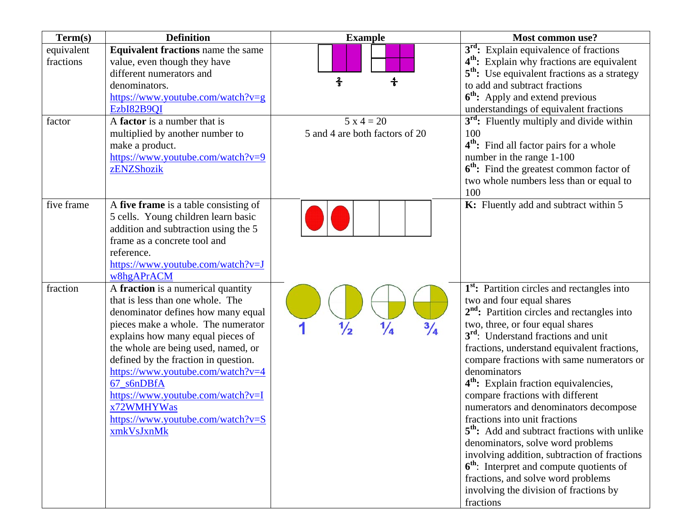| Term(s)                           | <b>Definition</b>                                                                                                                                                                                                                                                                                                                                                                                                               | <b>Example</b>                                  | Most common use?                                                                                                                                                                                                                                                                                                                                                                                                                                                                                                                                                                                                                                                                                                                                                                                        |
|-----------------------------------|---------------------------------------------------------------------------------------------------------------------------------------------------------------------------------------------------------------------------------------------------------------------------------------------------------------------------------------------------------------------------------------------------------------------------------|-------------------------------------------------|---------------------------------------------------------------------------------------------------------------------------------------------------------------------------------------------------------------------------------------------------------------------------------------------------------------------------------------------------------------------------------------------------------------------------------------------------------------------------------------------------------------------------------------------------------------------------------------------------------------------------------------------------------------------------------------------------------------------------------------------------------------------------------------------------------|
| equivalent<br>fractions<br>factor | <b>Equivalent fractions</b> name the same<br>value, even though they have<br>different numerators and<br>denominators.<br>https://www.youtube.com/watch?v=g<br>EzbI82B9QI<br>A factor is a number that is                                                                                                                                                                                                                       | $\frac{2}{3}$<br>÷<br>$5 x 4 = 20$              | $3rd$ : Explain equivalence of fractions<br>4 <sup>th</sup> : Explain why fractions are equivalent<br>5 <sup>th</sup> : Use equivalent fractions as a strategy<br>to add and subtract fractions<br>6 <sup>th</sup> : Apply and extend previous<br>understandings of equivalent fractions<br>3 <sup>rd</sup> : Fluently multiply and divide within                                                                                                                                                                                                                                                                                                                                                                                                                                                       |
|                                   | multiplied by another number to<br>make a product.<br>https://www.youtube.com/watch?v=9<br>zENZShozik                                                                                                                                                                                                                                                                                                                           | 5 and 4 are both factors of 20                  | 100<br>4 <sup>th</sup> : Find all factor pairs for a whole<br>number in the range 1-100<br>6 <sup>th</sup> : Find the greatest common factor of<br>two whole numbers less than or equal to<br>100                                                                                                                                                                                                                                                                                                                                                                                                                                                                                                                                                                                                       |
| five frame                        | A five frame is a table consisting of<br>5 cells. Young children learn basic<br>addition and subtraction using the 5<br>frame as a concrete tool and<br>reference.<br>https://www.youtube.com/watch?v=J<br>w8hgAPrACM                                                                                                                                                                                                           |                                                 | K: Fluently add and subtract within 5                                                                                                                                                                                                                                                                                                                                                                                                                                                                                                                                                                                                                                                                                                                                                                   |
| fraction                          | A fraction is a numerical quantity<br>that is less than one whole. The<br>denominator defines how many equal<br>pieces make a whole. The numerator<br>explains how many equal pieces of<br>the whole are being used, named, or<br>defined by the fraction in question.<br>https://www.youtube.com/watch?v=4<br>67_s6nDBfA<br>https://www.youtube.com/watch?v=I<br>x72WMHYWas<br>https://www.youtube.com/watch?v=S<br>xmkVsJxnMk | $\frac{3}{4}$<br>$\frac{1}{2}$<br>$\frac{1}{4}$ | 1 <sup>st</sup> : Partition circles and rectangles into<br>two and four equal shares<br>$2nd$ : Partition circles and rectangles into<br>two, three, or four equal shares<br>3 <sup>rd</sup> : Understand fractions and unit<br>fractions, understand equivalent fractions,<br>compare fractions with same numerators or<br>denominators<br>4 <sup>th</sup> : Explain fraction equivalencies,<br>compare fractions with different<br>numerators and denominators decompose<br>fractions into unit fractions<br>5 <sup>th</sup> : Add and subtract fractions with unlike<br>denominators, solve word problems<br>involving addition, subtraction of fractions<br>$6th$ : Interpret and compute quotients of<br>fractions, and solve word problems<br>involving the division of fractions by<br>fractions |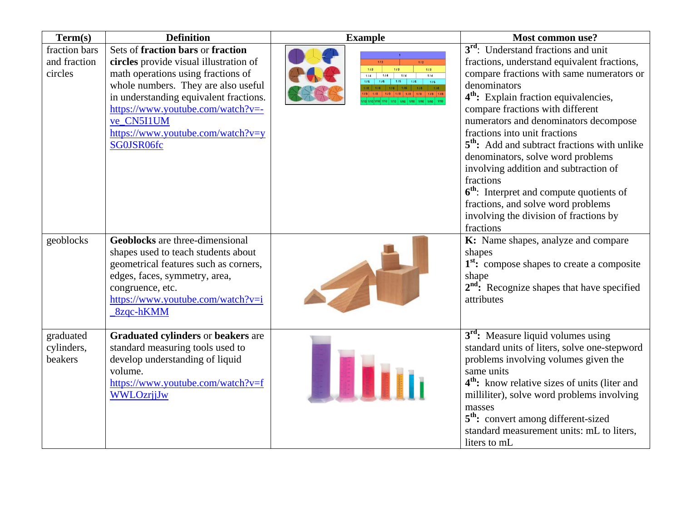| Term(s)                                  | <b>Definition</b>                                                                                                                                                                                                                                                                                        | <b>Example</b>                                                                                                         | Most common use?                                                                                                                                                                                                                                                                                                                                                                                                                                                                                                                                                                                                                           |
|------------------------------------------|----------------------------------------------------------------------------------------------------------------------------------------------------------------------------------------------------------------------------------------------------------------------------------------------------------|------------------------------------------------------------------------------------------------------------------------|--------------------------------------------------------------------------------------------------------------------------------------------------------------------------------------------------------------------------------------------------------------------------------------------------------------------------------------------------------------------------------------------------------------------------------------------------------------------------------------------------------------------------------------------------------------------------------------------------------------------------------------------|
| fraction bars<br>and fraction<br>circles | Sets of fraction bars or fraction<br>circles provide visual illustration of<br>math operations using fractions of<br>whole numbers. They are also useful<br>in understanding equivalent fractions.<br>https://www.youtube.com/watch?v=-<br>ve CN5I1UM<br>https://www.youtube.com/watch?v=y<br>SG0JSR06fc | 112<br>1/2<br>$113$<br>1/3<br>1/3<br>114<br>1/4<br>114<br>114<br>$1/5$ 1/5<br>1/5<br>1/8   1/8   1/8   1/8   1/8   1/8 | 3 <sup>rd</sup> : Understand fractions and unit<br>fractions, understand equivalent fractions,<br>compare fractions with same numerators or<br>denominators<br>4 <sup>th</sup> : Explain fraction equivalencies,<br>compare fractions with different<br>numerators and denominators decompose<br>fractions into unit fractions<br>5 <sup>th</sup> : Add and subtract fractions with unlike<br>denominators, solve word problems<br>involving addition and subtraction of<br>fractions<br>6 <sup>th</sup> : Interpret and compute quotients of<br>fractions, and solve word problems<br>involving the division of fractions by<br>fractions |
| geoblocks                                | <b>Geoblocks</b> are three-dimensional<br>shapes used to teach students about<br>geometrical features such as corners,<br>edges, faces, symmetry, area,<br>congruence, etc.<br>https://www.youtube.com/watch?v=i<br>8zqc-hKMM                                                                            |                                                                                                                        | K: Name shapes, analyze and compare<br>shapes<br>1 <sup>st</sup> : compose shapes to create a composite<br>shape<br>2 <sup>nd</sup> : Recognize shapes that have specified<br>attributes                                                                                                                                                                                                                                                                                                                                                                                                                                                   |
| graduated<br>cylinders,<br>beakers       | <b>Graduated cylinders or beakers are</b><br>standard measuring tools used to<br>develop understanding of liquid<br>volume.<br>https://www.youtube.com/watch?v=f<br><b>WWLOzrjjJw</b>                                                                                                                    |                                                                                                                        | 3 <sup>rd</sup> : Measure liquid volumes using<br>standard units of liters, solve one-stepword<br>problems involving volumes given the<br>same units<br>4 <sup>th</sup> : know relative sizes of units (liter and<br>milliliter), solve word problems involving<br>masses<br>5 <sup>th</sup> : convert among different-sized<br>standard measurement units: mL to liters,<br>liters to mL                                                                                                                                                                                                                                                  |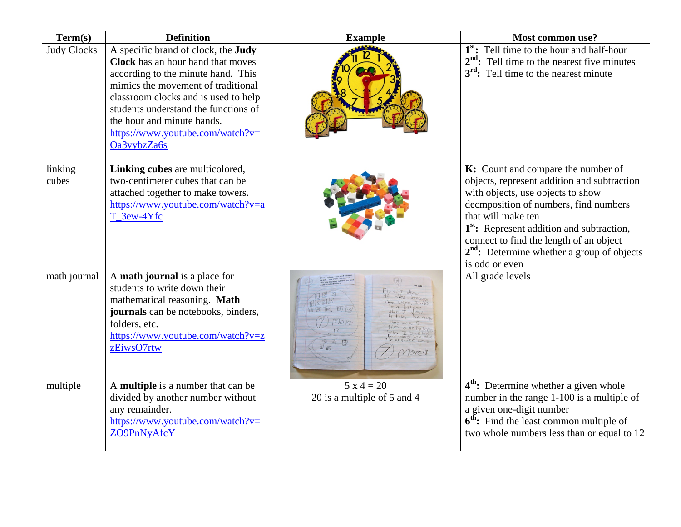| Term(s)            | <b>Definition</b>                                                                                                                                                                                                                                                                                                                   | <b>Example</b>                              | Most common use?                                                                                                                                                                                                                                                                                                                                            |
|--------------------|-------------------------------------------------------------------------------------------------------------------------------------------------------------------------------------------------------------------------------------------------------------------------------------------------------------------------------------|---------------------------------------------|-------------------------------------------------------------------------------------------------------------------------------------------------------------------------------------------------------------------------------------------------------------------------------------------------------------------------------------------------------------|
| <b>Judy Clocks</b> | A specific brand of clock, the <b>Judy</b><br><b>Clock</b> has an hour hand that moves<br>according to the minute hand. This<br>mimics the movement of traditional<br>classroom clocks and is used to help<br>students understand the functions of<br>the hour and minute hands.<br>https://www.youtube.com/watch?v=<br>Oa3vybzZa6s |                                             | 1 <sup>st</sup> : Tell time to the hour and half-hour<br>$2nd$ : Tell time to the nearest five minutes<br>3 <sup>rd</sup> : Tell time to the nearest minute                                                                                                                                                                                                 |
| linking<br>cubes   | Linking cubes are multicolored,<br>two-centimeter cubes that can be<br>attached together to make towers.<br>https://www.youtube.com/watch?v=a<br>T_3ew-4Yfc                                                                                                                                                                         |                                             | K: Count and compare the number of<br>objects, represent addition and subtraction<br>with objects, use objects to show<br>decmposition of numbers, find numbers<br>that will make ten<br>1 <sup>st</sup> : Represent addition and subtraction,<br>connect to find the length of an object<br>$2nd$ : Determine whether a group of objects<br>is odd or even |
| math journal       | A math journal is a place for<br>students to write down their<br>mathematical reasoning. Math<br>journals can be notebooks, binders,<br>folders, etc.<br>https://www.youtube.com/watch?v=z<br>zEiwsO7rtw                                                                                                                            |                                             | All grade levels                                                                                                                                                                                                                                                                                                                                            |
| multiple           | A multiple is a number that can be<br>divided by another number without<br>any remainder.<br>https://www.youtube.com/watch?v=<br>ZO9PnNyAfcY                                                                                                                                                                                        | $5 x 4 = 20$<br>20 is a multiple of 5 and 4 | 4 <sup>th</sup> : Determine whether a given whole<br>number in the range 1-100 is a multiple of<br>a given one-digit number<br>6 <sup>th</sup> : Find the least common multiple of<br>two whole numbers less than or equal to 12                                                                                                                            |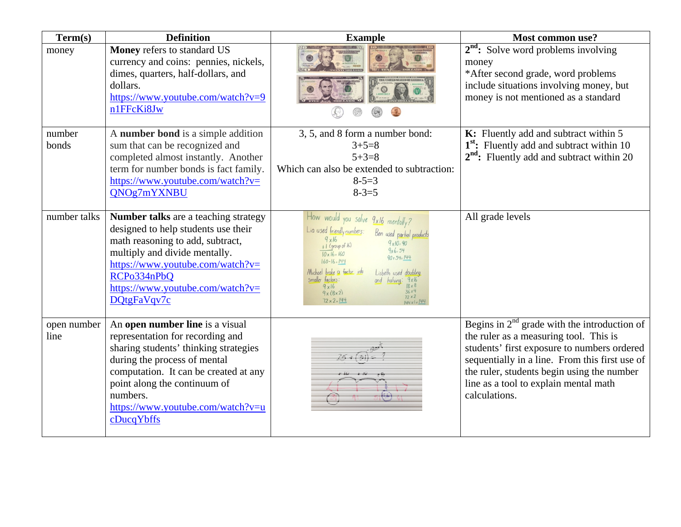| Term(s)             | <b>Definition</b>                                                                                                                                                                                                                                                                    | <b>Example</b>                                                                                                                                                                                                                                                                                                                                                                                                               | Most common use?                                                                                                                                                                                                                                                                                  |
|---------------------|--------------------------------------------------------------------------------------------------------------------------------------------------------------------------------------------------------------------------------------------------------------------------------------|------------------------------------------------------------------------------------------------------------------------------------------------------------------------------------------------------------------------------------------------------------------------------------------------------------------------------------------------------------------------------------------------------------------------------|---------------------------------------------------------------------------------------------------------------------------------------------------------------------------------------------------------------------------------------------------------------------------------------------------|
| money               | Money refers to standard US<br>currency and coins: pennies, nickels,<br>dimes, quarters, half-dollars, and<br>dollars.<br>https://www.youtube.com/watch?v=9<br>n1FFcKi8Jw                                                                                                            |                                                                                                                                                                                                                                                                                                                                                                                                                              | $2nd$ : Solve word problems involving<br>money<br>*After second grade, word problems<br>include situations involving money, but<br>money is not mentioned as a standard                                                                                                                           |
| number              | A number bond is a simple addition                                                                                                                                                                                                                                                   | 3, 5, and 8 form a number bond:                                                                                                                                                                                                                                                                                                                                                                                              | K: Fluently add and subtract within 5                                                                                                                                                                                                                                                             |
| bonds               | sum that can be recognized and<br>completed almost instantly. Another                                                                                                                                                                                                                | $3 + 5 = 8$<br>$5 + 3 = 8$                                                                                                                                                                                                                                                                                                                                                                                                   | 1 <sup>st</sup> : Fluently add and subtract within 10<br>$2nd$ : Fluently add and subtract within 20                                                                                                                                                                                              |
|                     | term for number bonds is fact family.                                                                                                                                                                                                                                                | Which can also be extended to subtraction:                                                                                                                                                                                                                                                                                                                                                                                   |                                                                                                                                                                                                                                                                                                   |
|                     | https://www.youtube.com/watch?v=                                                                                                                                                                                                                                                     | $8 - 5 = 3$                                                                                                                                                                                                                                                                                                                                                                                                                  |                                                                                                                                                                                                                                                                                                   |
|                     | QNOg7mYXNBU                                                                                                                                                                                                                                                                          | $8 - 3 = 5$                                                                                                                                                                                                                                                                                                                                                                                                                  |                                                                                                                                                                                                                                                                                                   |
|                     |                                                                                                                                                                                                                                                                                      |                                                                                                                                                                                                                                                                                                                                                                                                                              |                                                                                                                                                                                                                                                                                                   |
| number talks        | <b>Number talks</b> are a teaching strategy<br>designed to help students use their<br>math reasoning to add, subtract,<br>multiply and divide mentally.<br>https://www.youtube.com/watch?v=<br>RCPo334nPbQ<br>https://www.youtube.com/watch?v=<br>DQtgFaVqv7c                        | How would you solve 9x16 mentally?<br>Lia used friendly numbers:<br>Ben used partial products<br>9x16<br>$9 \times 10 = 90$<br>$+1$ (group of 16)<br>$9x6 = 54$<br>$10 \times 16 = 160$<br>$90 + 54 = 144$<br>$160 - 16 = 144$<br>Michael broke a factor into<br>Lisbeth used doubling<br>smaller factors:<br>and halving: 9x16<br>$18 \times 8$<br>$9 \times 16$<br>36x4<br>9x(8x2)<br>$72 \times 2$<br>$72 \times 2 = 144$ | All grade levels                                                                                                                                                                                                                                                                                  |
| open number<br>line | An open number line is a visual<br>representation for recording and<br>sharing students' thinking strategies<br>during the process of mental<br>computation. It can be created at any<br>point along the continuum of<br>numbers.<br>https://www.youtube.com/watch?v=u<br>cDucqYbffs |                                                                                                                                                                                                                                                                                                                                                                                                                              | Begins in $2nd$ grade with the introduction of<br>the ruler as a measuring tool. This is<br>students' first exposure to numbers ordered<br>sequentially in a line. From this first use of<br>the ruler, students begin using the number<br>line as a tool to explain mental math<br>calculations. |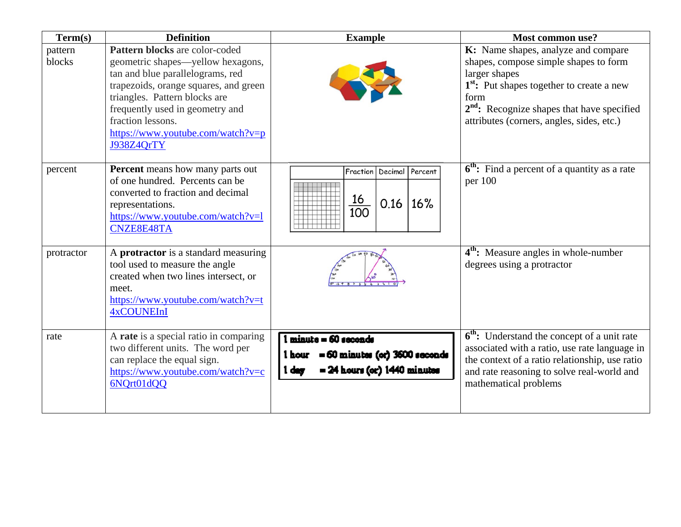| Term(s)           | <b>Definition</b>                                                                                                                                                                                                                                                                            | <b>Example</b>                                                                                               | Most common use?                                                                                                                                                                                                                                                      |
|-------------------|----------------------------------------------------------------------------------------------------------------------------------------------------------------------------------------------------------------------------------------------------------------------------------------------|--------------------------------------------------------------------------------------------------------------|-----------------------------------------------------------------------------------------------------------------------------------------------------------------------------------------------------------------------------------------------------------------------|
| pattern<br>blocks | Pattern blocks are color-coded<br>geometric shapes—yellow hexagons,<br>tan and blue parallelograms, red<br>trapezoids, orange squares, and green<br>triangles. Pattern blocks are<br>frequently used in geometry and<br>fraction lessons.<br>https://www.youtube.com/watch?v=p<br>J938Z4QrTY |                                                                                                              | K: Name shapes, analyze and compare<br>shapes, compose simple shapes to form<br>larger shapes<br>1 <sup>st</sup> : Put shapes together to create a new<br>form<br>2 <sup>nd</sup> : Recognize shapes that have specified<br>attributes (corners, angles, sides, etc.) |
| percent           | <b>Percent</b> means how many parts out<br>of one hundred. Percents can be<br>converted to fraction and decimal<br>representations.<br>https://www.youtube.com/watch?v=l<br>CNZE8E48TA                                                                                                       | Fraction<br>Decimal<br>Percent<br>16<br>16%<br>0.16<br>$\overline{100}$                                      | $6th$ : Find a percent of a quantity as a rate<br>per $100$                                                                                                                                                                                                           |
| protractor        | A <b>protractor</b> is a standard measuring<br>tool used to measure the angle<br>created when two lines intersect, or<br>meet.<br>https://www.youtube.com/watch?v=t<br><b>4xCOUNEInI</b>                                                                                                     |                                                                                                              | 4 <sup>th</sup> : Measure angles in whole-number<br>degrees using a protractor                                                                                                                                                                                        |
| rate              | A rate is a special ratio in comparing<br>two different units. The word per<br>can replace the equal sign.<br>https://www.youtube.com/watch?v=c<br>6NQrt01dQQ                                                                                                                                | minute = 60 seconds<br>= 60 minutes (er) 3600 seconds<br>1 hour<br>$= 24$ hours (or) $1440$ minutes<br>1 der | $6th$ : Understand the concept of a unit rate<br>associated with a ratio, use rate language in<br>the context of a ratio relationship, use ratio<br>and rate reasoning to solve real-world and<br>mathematical problems                                               |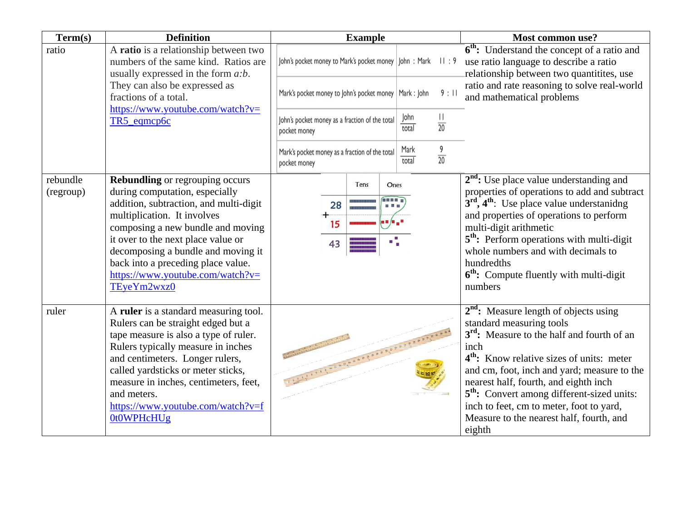| Term(s)               | <b>Definition</b>                                                                                                                                                                                                                                                                                                                                                     | <b>Example</b>                                                 |                                       | <b>Most common use?</b>                                                                                                                                                                                                                                                                                                                                                                                                                            |
|-----------------------|-----------------------------------------------------------------------------------------------------------------------------------------------------------------------------------------------------------------------------------------------------------------------------------------------------------------------------------------------------------------------|----------------------------------------------------------------|---------------------------------------|----------------------------------------------------------------------------------------------------------------------------------------------------------------------------------------------------------------------------------------------------------------------------------------------------------------------------------------------------------------------------------------------------------------------------------------------------|
| ratio                 | A ratio is a relationship between two<br>numbers of the same kind. Ratios are<br>usually expressed in the form $a:b$ .                                                                                                                                                                                                                                                | John's pocket money to Mark's pocket money   John: Mark II: 9  |                                       | $\overline{6}^{th}$ : Understand the concept of a ratio and<br>use ratio language to describe a ratio<br>relationship between two quantitites, use                                                                                                                                                                                                                                                                                                 |
|                       | They can also be expressed as<br>fractions of a total.<br>https://www.youtube.com/watch?v=                                                                                                                                                                                                                                                                            | Mark's pocket money to John's pocket money   Mark : John       | 9:11                                  | ratio and rate reasoning to solve real-world<br>and mathematical problems                                                                                                                                                                                                                                                                                                                                                                          |
|                       | TR5_eqmcp6c                                                                                                                                                                                                                                                                                                                                                           | John's pocket money as a fraction of the total<br>pocket money | Ш<br>John<br>$\overline{20}$<br>total |                                                                                                                                                                                                                                                                                                                                                                                                                                                    |
|                       |                                                                                                                                                                                                                                                                                                                                                                       | Mark's pocket money as a fraction of the total<br>pocket money | $rac{9}{20}$<br>Mark<br>total         |                                                                                                                                                                                                                                                                                                                                                                                                                                                    |
| rebundle<br>(regroup) | <b>Rebundling</b> or regrouping occurs<br>during computation, especially<br>addition, subtraction, and multi-digit<br>multiplication. It involves<br>composing a new bundle and moving<br>it over to the next place value or<br>decomposing a bundle and moving it<br>back into a preceding place value.<br>$\frac{https://www.voutube.com/watch?v=}{$<br>TEyeYm2wxz0 | Tens<br>Ones<br><b>BELLE</b><br>28<br>15<br>43                 |                                       | $2nd$ : Use place value understanding and<br>properties of operations to add and subtract<br>$3rd$ , $4th$ : Use place value understanidng<br>and properties of operations to perform<br>multi-digit arithmetic<br>5 <sup>th</sup> : Perform operations with multi-digit<br>whole numbers and with decimals to<br>hundredths<br>6 <sup>th</sup> : Compute fluently with multi-digit<br>numbers                                                     |
| ruler                 | A ruler is a standard measuring tool.<br>Rulers can be straight edged but a<br>tape measure is also a type of ruler.<br>Rulers typically measure in inches<br>and centimeters. Longer rulers,<br>called yardsticks or meter sticks,<br>measure in inches, centimeters, feet,<br>and meters.<br>https://www.youtube.com/watch?v=f<br>0t0WPHcHUg                        |                                                                |                                       | $2nd$ : Measure length of objects using<br>standard measuring tools<br>3 <sup>rd</sup> : Measure to the half and fourth of an<br>inch<br>4 <sup>th</sup> : Know relative sizes of units: meter<br>and cm, foot, inch and yard; measure to the<br>nearest half, fourth, and eighth inch<br>5 <sup>th</sup> : Convert among different-sized units:<br>inch to feet, cm to meter, foot to yard,<br>Measure to the nearest half, fourth, and<br>eighth |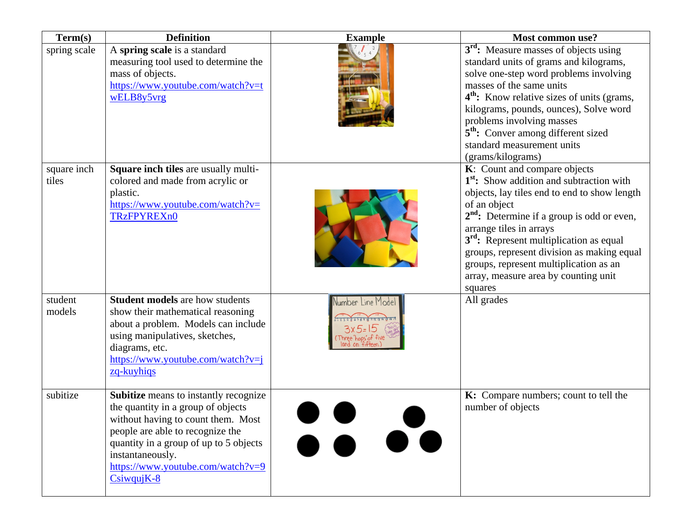| Term(s)              | <b>Definition</b>                                                                                                                                                                                                                                                        | <b>Example</b>    | Most common use?                                                                                                                                                                                                                                                                                                                                                                                                                            |
|----------------------|--------------------------------------------------------------------------------------------------------------------------------------------------------------------------------------------------------------------------------------------------------------------------|-------------------|---------------------------------------------------------------------------------------------------------------------------------------------------------------------------------------------------------------------------------------------------------------------------------------------------------------------------------------------------------------------------------------------------------------------------------------------|
| spring scale         | A spring scale is a standard<br>measuring tool used to determine the<br>mass of objects.<br>https://www.youtube.com/watch?v=t<br>wELB8y5vrg                                                                                                                              |                   | 3 <sup>rd</sup> : Measure masses of objects using<br>standard units of grams and kilograms,<br>solve one-step word problems involving<br>masses of the same units<br>4 <sup>th</sup> : Know relative sizes of units (grams,<br>kilograms, pounds, ounces), Solve word<br>problems involving masses<br>5 <sup>th</sup> : Conver among different sized<br>standard measurement units<br>(grams/kilograms)                                     |
| square inch<br>tiles | Square inch tiles are usually multi-<br>colored and made from acrylic or<br>plastic.<br>https://www.youtube.com/watch?v=<br><b>TRzFPYREXn0</b>                                                                                                                           |                   | K: Count and compare objects<br>1 <sup>st</sup> : Show addition and subtraction with<br>objects, lay tiles end to end to show length<br>of an object<br>2 <sup>nd</sup> : Determine if a group is odd or even,<br>arrange tiles in arrays<br>3 <sup>rd</sup> : Represent multiplication as equal<br>groups, represent division as making equal<br>groups, represent multiplication as an<br>array, measure area by counting unit<br>squares |
| student<br>models    | <b>Student models</b> are how students<br>show their mathematical reasoning<br>about a problem. Models can include<br>using manipulatives, sketches,<br>diagrams, etc.<br>https://www.youtube.com/watch?v=j<br>zq-kuyhiqs                                                | Number Line Model | All grades                                                                                                                                                                                                                                                                                                                                                                                                                                  |
| subitize             | Subitize means to instantly recognize<br>the quantity in a group of objects<br>without having to count them. Most<br>people are able to recognize the<br>quantity in a group of up to 5 objects<br>instantaneously.<br>https://www.youtube.com/watch?v=9<br>$CsiwqujK-8$ |                   | K: Compare numbers; count to tell the<br>number of objects                                                                                                                                                                                                                                                                                                                                                                                  |